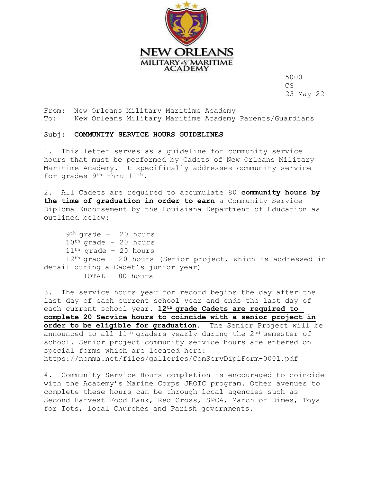

5000 CS 23 May 22

From: New Orleans Military Maritime Academy To: New Orleans Military Maritime Academy Parents/Guardians

## Subj: **COMMUNITY SERVICE HOURS GUIDELINES**

1. This letter serves as a guideline for community service hours that must be performed by Cadets of New Orleans Military Maritime Academy. It specifically addresses community service for grades 9<sup>th</sup> thru 11<sup>th</sup>.

2. All Cadets are required to accumulate 80 **community hours by the time of graduation in order to earn** a Community Service Diploma Endorsement by the Louisiana Department of Education as outlined below:

 $9<sup>th</sup>$  grade - 20 hours  $10<sup>th</sup>$  grade - 20 hours  $11<sup>th</sup>$  grade - 20 hours 12<sup>th</sup> grade - 20 hours (Senior project, which is addressed in detail during a Cadet's junior year) TOTAL – 80 hours

3. The service hours year for record begins the day after the last day of each current school year and ends the last day of each current school year. **12th grade Cadets are required to complete 20 Service hours to coincide with a senior project in order to be eligible for graduation**. The Senior Project will be announced to all  $11<sup>th</sup>$  graders yearly during the  $2<sup>nd</sup>$  semester of school. Senior project community service hours are entered on special forms which are located here: https://nomma.net/files/galleries/ComServDiplForm-0001.pdf

4. Community Service Hours completion is encouraged to coincide with the Academy's Marine Corps JROTC program. Other avenues to complete these hours can be through local agencies such as Second Harvest Food Bank, Red Cross, SPCA, March of Dimes, Toys for Tots, local Churches and Parish governments.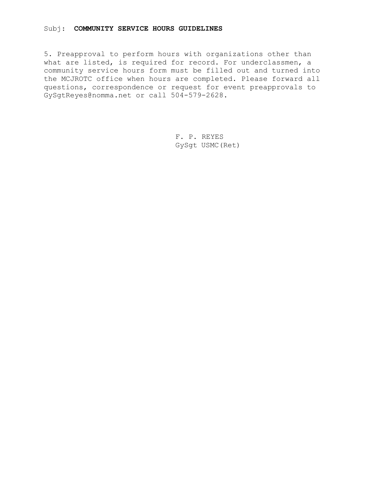## Subj: **COMMUNITY SERVICE HOURS GUIDELINES**

5. Preapproval to perform hours with organizations other than what are listed, is required for record. For underclassmen, a community service hours form must be filled out and turned into the MCJROTC office when hours are completed. Please forward all questions, correspondence or request for event preapprovals to GySgtReyes@nomma.net or call 504-579-2628.

> F. P. REYES GySgt USMC(Ret)